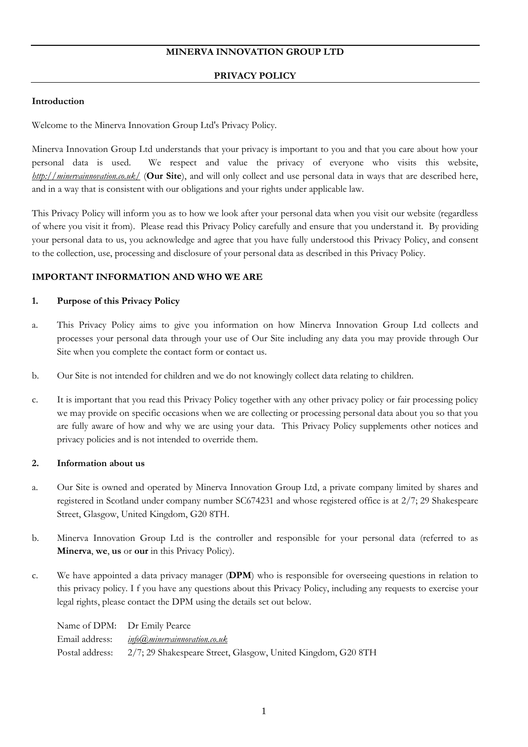# **MINERVA INNOVATION GROUP LTD**

### **PRIVACY POLICY**

### **Introduction**

Welcome to the Minerva Innovation Group Ltd's Privacy Policy.

Minerva Innovation Group Ltd understands that your privacy is important to you and that you care about how your personal data is used. We respect and value the privacy of everyone who visits this website, *<http://minervainnovation.co.uk/>* (**Our Site**), and will only collect and use personal data in ways that are described here, and in a way that is consistent with our obligations and your rights under applicable law.

This Privacy Policy will inform you as to how we look after your personal data when you visit our website (regardless of where you visit it from). Please read this Privacy Policy carefully and ensure that you understand it. By providing your personal data to us, you acknowledge and agree that you have fully understood this Privacy Policy, and consent to the collection, use, processing and disclosure of your personal data as described in this Privacy Policy.

## **IMPORTANT INFORMATION AND WHO WE ARE**

### **1. Purpose of this Privacy Policy**

- a. This Privacy Policy aims to give you information on how Minerva Innovation Group Ltd collects and processes your personal data through your use of Our Site including any data you may provide through Our Site when you complete the contact form or contact us.
- b. Our Site is not intended for children and we do not knowingly collect data relating to children.
- c. It is important that you read this Privacy Policy together with any other privacy policy or fair processing policy we may provide on specific occasions when we are collecting or processing personal data about you so that you are fully aware of how and why we are using your data. This Privacy Policy supplements other notices and privacy policies and is not intended to override them.

### **2. Information about us**

- a. Our Site is owned and operated by Minerva Innovation Group Ltd, a private company limited by shares and registered in Scotland under company number SC674231 and whose registered office is at 2/7; 29 Shakespeare Street, Glasgow, United Kingdom, G20 8TH.
- b. Minerva Innovation Group Ltd is the controller and responsible for your personal data (referred to as **Minerva**, **we**, **us** or **our** in this Privacy Policy).
- c. We have appointed a data privacy manager (**DPM**) who is responsible for overseeing questions in relation to this privacy policy. I f you have any questions about this Privacy Policy, including any requests to exercise your legal rights, please contact the DPM using the details set out below.

|                 | Name of DPM: Dr Emily Pearce                                 |
|-----------------|--------------------------------------------------------------|
| Email address:  | <u>info(a),minervainnovation.co.uk</u>                       |
| Postal address: | 2/7; 29 Shakespeare Street, Glasgow, United Kingdom, G20 8TH |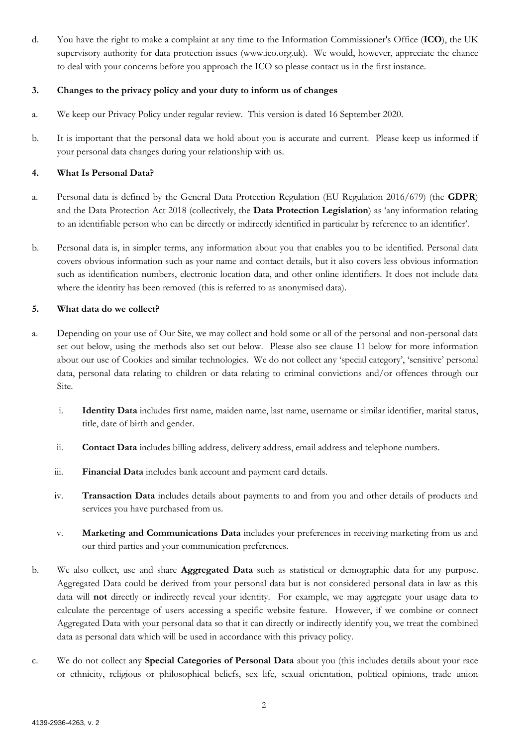d. You have the right to make a complaint at any time to the Information Commissioner's Office (**ICO**), the UK supervisory authority for data protection issues (www.ico.org.uk). We would, however, appreciate the chance to deal with your concerns before you approach the ICO so please contact us in the first instance.

## **3. Changes to the privacy policy and your duty to inform us of changes**

- a. We keep our Privacy Policy under regular review. This version is dated 16 September 2020.
- b. It is important that the personal data we hold about you is accurate and current. Please keep us informed if your personal data changes during your relationship with us.

## **4. What Is Personal Data?**

- a. Personal data is defined by the General Data Protection Regulation (EU Regulation 2016/679) (the **GDPR**) and the Data Protection Act 2018 (collectively, the **Data Protection Legislation**) as 'any information relating to an identifiable person who can be directly or indirectly identified in particular by reference to an identifier'.
- b. Personal data is, in simpler terms, any information about you that enables you to be identified. Personal data covers obvious information such as your name and contact details, but it also covers less obvious information such as identification numbers, electronic location data, and other online identifiers. It does not include data where the identity has been removed (this is referred to as anonymised data).

## **5. What data do we collect?**

- a. Depending on your use of Our Site, we may collect and hold some or all of the personal and non-personal data set out below, using the methods also set out below. Please also see clause [11](#page-4-0) below for more information about our use of Cookies and similar technologies. We do not collect any 'special category', 'sensitive' personal data, personal data relating to children or data relating to criminal convictions and/or offences through our Site.
	- i. **Identity Data** includes first name, maiden name, last name, username or similar identifier, marital status, title, date of birth and gender.
	- ii. **Contact Data** includes billing address, delivery address, email address and telephone numbers.
	- iii. **Financial Data** includes bank account and payment card details.
	- iv. **Transaction Data** includes details about payments to and from you and other details of products and services you have purchased from us.
	- v. **Marketing and Communications Data** includes your preferences in receiving marketing from us and our third parties and your communication preferences.
- b. We also collect, use and share **Aggregated Data** such as statistical or demographic data for any purpose. Aggregated Data could be derived from your personal data but is not considered personal data in law as this data will **not** directly or indirectly reveal your identity. For example, we may aggregate your usage data to calculate the percentage of users accessing a specific website feature. However, if we combine or connect Aggregated Data with your personal data so that it can directly or indirectly identify you, we treat the combined data as personal data which will be used in accordance with this privacy policy.
- c. We do not collect any **Special Categories of Personal Data** about you (this includes details about your race or ethnicity, religious or philosophical beliefs, sex life, sexual orientation, political opinions, trade union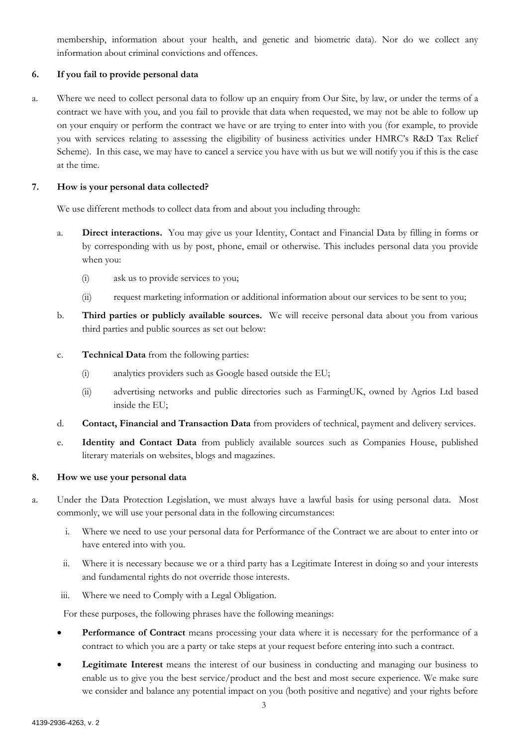membership, information about your health, and genetic and biometric data). Nor do we collect any information about criminal convictions and offences.

# **6. If you fail to provide personal data**

a. Where we need to collect personal data to follow up an enquiry from Our Site, by law, or under the terms of a contract we have with you, and you fail to provide that data when requested, we may not be able to follow up on your enquiry or perform the contract we have or are trying to enter into with you (for example, to provide you with services relating to assessing the eligibility of business activities under HMRC's R&D Tax Relief Scheme). In this case, we may have to cancel a service you have with us but we will notify you if this is the case at the time.

### **7. How is your personal data collected?**

We use different methods to collect data from and about you including through:

- a. **Direct interactions.** You may give us your Identity, Contact and Financial Data by filling in forms or by corresponding with us by post, phone, email or otherwise. This includes personal data you provide when you:
	- (i) ask us to provide services to you;
	- (ii) request marketing information or additional information about our services to be sent to you;
- b. **Third parties or publicly available sources.** We will receive personal data about you from various third parties and public sources as set out below:
- c. **Technical Data** from the following parties:
	- (i) analytics providers such as Google based outside the EU;
	- (ii) advertising networks and public directories such as FarmingUK, owned by Agrios Ltd based inside the EU;
- d. **Contact, Financial and Transaction Data** from providers of technical, payment and delivery services.
- e. **Identity and Contact Data** from publicly available sources such as Companies House, published literary materials on websites, blogs and magazines.

### **8. How we use your personal data**

- a. Under the Data Protection Legislation, we must always have a lawful basis for using personal data. Most commonly, we will use your personal data in the following circumstances:
	- i. Where we need to use your personal data for Performance of the Contract we are about to enter into or have entered into with you.
	- ii. Where it is necessary because we or a third party has a Legitimate Interest in doing so and your interests and fundamental rights do not override those interests.
	- iii. Where we need to Comply with a Legal Obligation.

For these purposes, the following phrases have the following meanings:

- Performance of Contract means processing your data where it is necessary for the performance of a contract to which you are a party or take steps at your request before entering into such a contract.
- **Legitimate Interest** means the interest of our business in conducting and managing our business to enable us to give you the best service/product and the best and most secure experience. We make sure we consider and balance any potential impact on you (both positive and negative) and your rights before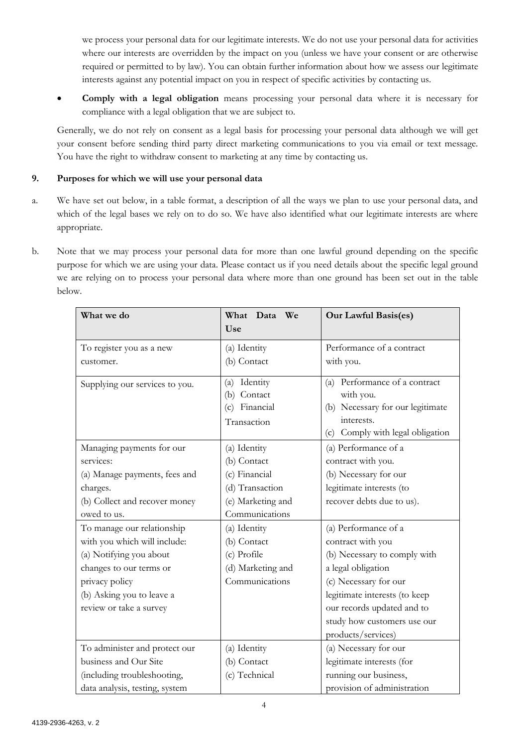we process your personal data for our legitimate interests. We do not use your personal data for activities where our interests are overridden by the impact on you (unless we have your consent or are otherwise required or permitted to by law). You can obtain further information about how we assess our legitimate interests against any potential impact on you in respect of specific activities by contacting us.

• **Comply with a legal obligation** means processing your personal data where it is necessary for compliance with a legal obligation that we are subject to.

Generally, we do not rely on consent as a legal basis for processing your personal data although we will get your consent before sending third party direct marketing communications to you via email or text message. You have the right to withdraw consent to marketing at any time by contacting us.

# **9. Purposes for which we will use your personal data**

- a. We have set out below, in a table format, a description of all the ways we plan to use your personal data, and which of the legal bases we rely on to do so. We have also identified what our legitimate interests are where appropriate.
- b. Note that we may process your personal data for more than one lawful ground depending on the specific purpose for which we are using your data. Please contact us if you need details about the specific legal ground we are relying on to process your personal data where more than one ground has been set out in the table below.

| What we do                                                                                                                                                                                                                                                                                                                        | What Data<br>We<br>Use                                                                                                                                                                      | <b>Our Lawful Basis(es)</b>                                                                                                                                                                                                                                                                                                                            |
|-----------------------------------------------------------------------------------------------------------------------------------------------------------------------------------------------------------------------------------------------------------------------------------------------------------------------------------|---------------------------------------------------------------------------------------------------------------------------------------------------------------------------------------------|--------------------------------------------------------------------------------------------------------------------------------------------------------------------------------------------------------------------------------------------------------------------------------------------------------------------------------------------------------|
| To register you as a new<br>customer.                                                                                                                                                                                                                                                                                             | (a) Identity<br>(b) Contact                                                                                                                                                                 | Performance of a contract<br>with you.                                                                                                                                                                                                                                                                                                                 |
| Supplying our services to you.                                                                                                                                                                                                                                                                                                    | (a) Identity<br>(b) Contact<br>Financial<br>(c)<br>Transaction                                                                                                                              | (a) Performance of a contract<br>with you.<br>(b) Necessary for our legitimate<br>interests.<br>(c) Comply with legal obligation                                                                                                                                                                                                                       |
| Managing payments for our<br>services:<br>(a) Manage payments, fees and<br>charges.<br>(b) Collect and recover money<br>owed to us.<br>To manage our relationship<br>with you which will include:<br>(a) Notifying you about<br>changes to our terms or<br>privacy policy<br>(b) Asking you to leave a<br>review or take a survey | (a) Identity<br>(b) Contact<br>(c) Financial<br>(d) Transaction<br>(e) Marketing and<br>Communications<br>(a) Identity<br>(b) Contact<br>(c) Profile<br>(d) Marketing and<br>Communications | (a) Performance of a<br>contract with you.<br>(b) Necessary for our<br>legitimate interests (to<br>recover debts due to us).<br>(a) Performance of a<br>contract with you<br>(b) Necessary to comply with<br>a legal obligation<br>(c) Necessary for our<br>legitimate interests (to keep<br>our records updated and to<br>study how customers use our |
| To administer and protect our<br>business and Our Site<br>(including troubleshooting,<br>data analysis, testing, system                                                                                                                                                                                                           | (a) Identity<br>(b) Contact<br>(c) Technical                                                                                                                                                | products/services)<br>(a) Necessary for our<br>legitimate interests (for<br>running our business,<br>provision of administration                                                                                                                                                                                                                       |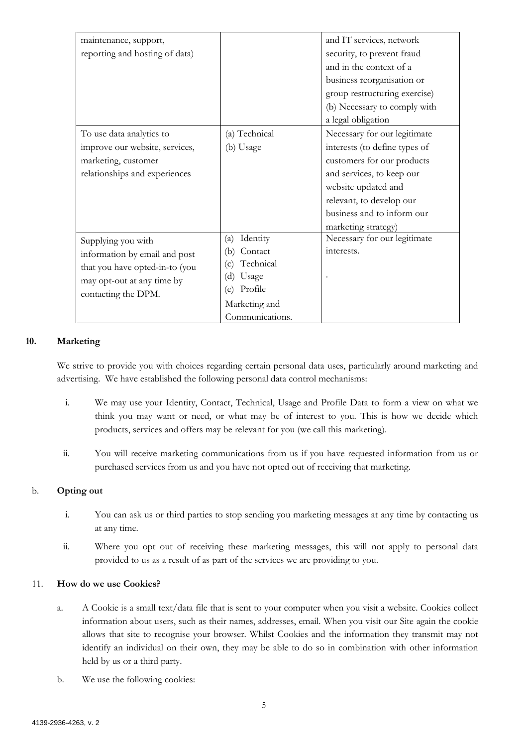| maintenance, support,          |                  | and IT services, network      |
|--------------------------------|------------------|-------------------------------|
| reporting and hosting of data) |                  | security, to prevent fraud    |
|                                |                  | and in the context of a       |
|                                |                  | business reorganisation or    |
|                                |                  | group restructuring exercise) |
|                                |                  | (b) Necessary to comply with  |
|                                |                  | a legal obligation            |
| To use data analytics to       | (a) Technical    | Necessary for our legitimate  |
| improve our website, services, | (b) Usage        | interests (to define types of |
| marketing, customer            |                  | customers for our products    |
| relationships and experiences  |                  | and services, to keep our     |
|                                |                  | website updated and           |
|                                |                  | relevant, to develop our      |
|                                |                  | business and to inform our    |
|                                |                  | marketing strategy)           |
| Supplying you with             | Identity<br>(a)  | Necessary for our legitimate  |
| information by email and post  | Contact<br>(b)   | interests.                    |
| that you have opted-in-to (you | Technical<br>(c) |                               |
| may opt-out at any time by     | (d)<br>Usage     |                               |
| contacting the DPM.            | Profile<br>(e)   |                               |
|                                | Marketing and    |                               |
|                                | Communications.  |                               |

## **10. Marketing**

We strive to provide you with choices regarding certain personal data uses, particularly around marketing and advertising. We have established the following personal data control mechanisms:

- i. We may use your Identity, Contact, Technical, Usage and Profile Data to form a view on what we think you may want or need, or what may be of interest to you. This is how we decide which products, services and offers may be relevant for you (we call this marketing).
- ii. You will receive marketing communications from us if you have requested information from us or purchased services from us and you have not opted out of receiving that marketing.

# b. **Opting out**

- i. You can ask us or third parties to stop sending you marketing messages at any time by contacting us at any time.
- ii. Where you opt out of receiving these marketing messages, this will not apply to personal data provided to us as a result of as part of the services we are providing to you.

### <span id="page-4-0"></span>11. **How do we use Cookies?**

- a. A Cookie is a small text/data file that is sent to your computer when you visit a website. Cookies collect information about users, such as their names, addresses, email. When you visit our Site again the cookie allows that site to recognise your browser. Whilst Cookies and the information they transmit may not identify an individual on their own, they may be able to do so in combination with other information held by us or a third party.
- b. We use the following cookies: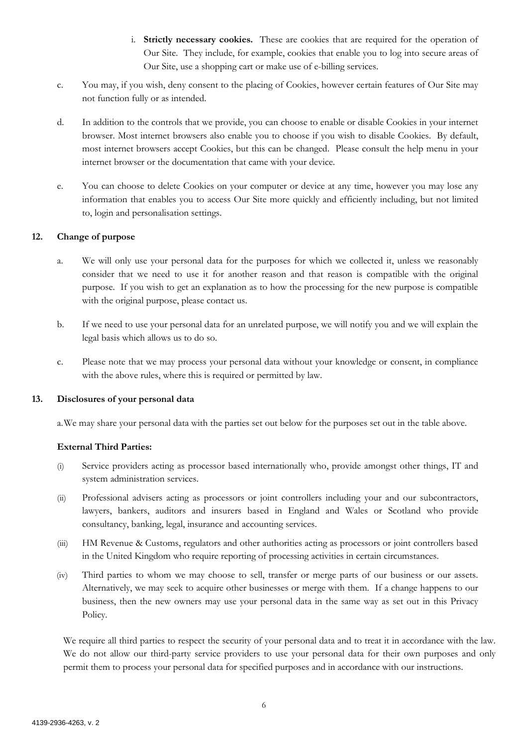- i. **Strictly necessary cookies.** These are cookies that are required for the operation of Our Site. They include, for example, cookies that enable you to log into secure areas of Our Site, use a shopping cart or make use of e-billing services.
- c. You may, if you wish, deny consent to the placing of Cookies, however certain features of Our Site may not function fully or as intended.
- d. In addition to the controls that we provide, you can choose to enable or disable Cookies in your internet browser. Most internet browsers also enable you to choose if you wish to disable Cookies. By default, most internet browsers accept Cookies, but this can be changed. Please consult the help menu in your internet browser or the documentation that came with your device.
- e. You can choose to delete Cookies on your computer or device at any time, however you may lose any information that enables you to access Our Site more quickly and efficiently including, but not limited to, login and personalisation settings.

## **12. Change of purpose**

- a. We will only use your personal data for the purposes for which we collected it, unless we reasonably consider that we need to use it for another reason and that reason is compatible with the original purpose. If you wish to get an explanation as to how the processing for the new purpose is compatible with the original purpose, please contact us.
- b. If we need to use your personal data for an unrelated purpose, we will notify you and we will explain the legal basis which allows us to do so.
- c. Please note that we may process your personal data without your knowledge or consent, in compliance with the above rules, where this is required or permitted by law.

### **13. Disclosures of your personal data**

a.We may share your personal data with the parties set out below for the purposes set out in the table above.

### **External Third Parties:**

- (i) Service providers acting as processor based internationally who, provide amongst other things, IT and system administration services.
- (ii) Professional advisers acting as processors or joint controllers including your and our subcontractors, lawyers, bankers, auditors and insurers based in England and Wales or Scotland who provide consultancy, banking, legal, insurance and accounting services.
- (iii) HM Revenue & Customs, regulators and other authorities acting as processors or joint controllers based in the United Kingdom who require reporting of processing activities in certain circumstances.
- (iv) Third parties to whom we may choose to sell, transfer or merge parts of our business or our assets. Alternatively, we may seek to acquire other businesses or merge with them. If a change happens to our business, then the new owners may use your personal data in the same way as set out in this Privacy Policy.

We require all third parties to respect the security of your personal data and to treat it in accordance with the law. We do not allow our third-party service providers to use your personal data for their own purposes and only permit them to process your personal data for specified purposes and in accordance with our instructions.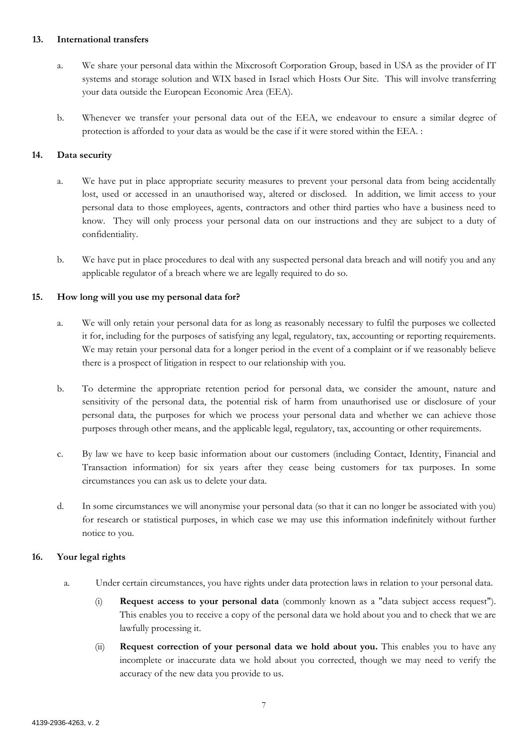### **13. International transfers**

- a. We share your personal data within the Mixcrosoft Corporation Group, based in USA as the provider of IT systems and storage solution and WIX based in Israel which Hosts Our Site. This will involve transferring your data outside the European Economic Area (EEA).
- b. Whenever we transfer your personal data out of the EEA, we endeavour to ensure a similar degree of protection is afforded to your data as would be the case if it were stored within the EEA. :

# **14. Data security**

- a. We have put in place appropriate security measures to prevent your personal data from being accidentally lost, used or accessed in an unauthorised way, altered or disclosed. In addition, we limit access to your personal data to those employees, agents, contractors and other third parties who have a business need to know. They will only process your personal data on our instructions and they are subject to a duty of confidentiality.
- b. We have put in place procedures to deal with any suspected personal data breach and will notify you and any applicable regulator of a breach where we are legally required to do so.

## **15. How long will you use my personal data for?**

- a. We will only retain your personal data for as long as reasonably necessary to fulfil the purposes we collected it for, including for the purposes of satisfying any legal, regulatory, tax, accounting or reporting requirements. We may retain your personal data for a longer period in the event of a complaint or if we reasonably believe there is a prospect of litigation in respect to our relationship with you.
- b. To determine the appropriate retention period for personal data, we consider the amount, nature and sensitivity of the personal data, the potential risk of harm from unauthorised use or disclosure of your personal data, the purposes for which we process your personal data and whether we can achieve those purposes through other means, and the applicable legal, regulatory, tax, accounting or other requirements.
- c. By law we have to keep basic information about our customers (including Contact, Identity, Financial and Transaction information) for six years after they cease being customers for tax purposes. In some circumstances you can ask us to delete your data.
- d. In some circumstances we will anonymise your personal data (so that it can no longer be associated with you) for research or statistical purposes, in which case we may use this information indefinitely without further notice to you.

### **16. Your legal rights**

- a. Under certain circumstances, you have rights under data protection laws in relation to your personal data.
	- (i) **Request access to your personal data** (commonly known as a "data subject access request"). This enables you to receive a copy of the personal data we hold about you and to check that we are lawfully processing it.
	- (ii) **Request correction of your personal data we hold about you.** This enables you to have any incomplete or inaccurate data we hold about you corrected, though we may need to verify the accuracy of the new data you provide to us.